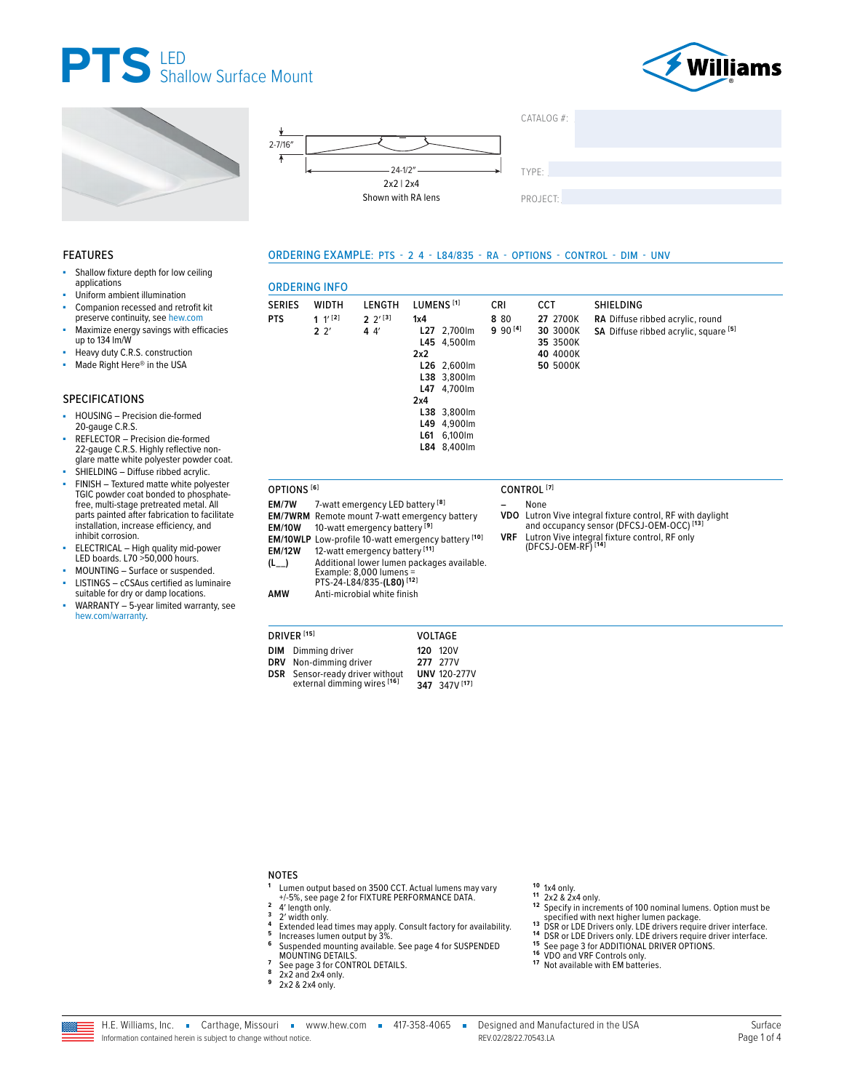







CCT

27 2700K

#### **FEATURES**

- ÷. Shallow fixture depth for low ceiling applications
- Uniform ambient illumination
- Companion recessed and retrofit kit ×
- preserve continuity, see hew.com Maximize energy savings with efficacies up to 134 Im/W
- Heavy duty C.R.S. construction
- Made Right Here<sup>®</sup> in the USA à.

#### **SPECIFICATIONS**

- HOUSING Precision die-formed<br>20-gauge C.R.S. à,
- REFLECTOR Precision die-formed<br>22-gauge C.R.S. Highly reflective nonglare matte white polyester powder coat.
- SHIELDING Diffuse ribbed acrylic. FINISH - Textured matte white polyester TGIC powder coat bonded to phosphatefree, multi-stage pretreated metal. All parts painted after fabrication to facilitate installation, increase efficiency, and
- inhibit corrosion. ELECTRICAL - High quality mid-power LED boards. L70 >50,000 hours.
- MOUNTING Surface or suspended.
- LISTINGS cCSAus certified as luminaire × suitable for dry or damp locations.
- WARRANTY 5-year limited warranty, see hew.com/warranty.

|                                                                                               | 22' | 44'                                                                                                                                                                                                                                                                                                                                                                                             | 2x2<br>2x4 | L27 2,700lm<br>L45 4,500lm<br>L26 2,600lm<br>L38 3,800lm<br>L47 4,700lm<br>L38 3,800lm<br>L49 4,900lm<br>L61 6,100lm<br>L84 8,400lm | $9.90^{[4]}$ | 30 3000K<br>35 3500K<br>40 4000K<br>50 5000K |                                | SA Diffuse ribbed acrylic, square [5]                                                                                                                               |  |
|-----------------------------------------------------------------------------------------------|-----|-------------------------------------------------------------------------------------------------------------------------------------------------------------------------------------------------------------------------------------------------------------------------------------------------------------------------------------------------------------------------------------------------|------------|-------------------------------------------------------------------------------------------------------------------------------------|--------------|----------------------------------------------|--------------------------------|---------------------------------------------------------------------------------------------------------------------------------------------------------------------|--|
| OPTIONS <sup>[6]</sup><br>EM/7W<br><b>EM/10W</b><br><b>EM/12W</b><br>$(L_{--})$<br><b>AMW</b> |     | 7-watt emergency LED battery <sup>[8]</sup><br><b>EM/7WRM</b> Remote mount 7-watt emergency battery<br>10-watt emergency battery <sup>[9]</sup><br><b>EM/10WLP</b> Low-profile 10-watt emergency battery [10]<br>12-watt emergency battery [11]<br>Additional lower lumen packages available.<br>Example: 8,000 lumens =<br>PTS-24-L84/835-(L80) <sup>[12]</sup><br>Anti-microbial white finish |            |                                                                                                                                     | <b>VRF</b>   | CONTROL <sup>[7]</sup><br>None               | (DFCSJ-OEM-RF) <sup>[14]</sup> | VDO Lutron Vive integral fixture control, RF with daylight<br>and occupancy sensor (DFCSJ-OEM-OCC) <sup>[13]</sup><br>Lutron Vive integral fixture control, RF only |  |

ORDERING EXAMPLE: PTS - 2 4 - L84/835 - RA - OPTIONS - CONTROL - DIM - UNV

CRI

8 80

LUMENS<sup>[1]</sup>

 $1x4$ 

| <b>DRIVER</b> [15] |                                        |  | VOLTAGE             |
|--------------------|----------------------------------------|--|---------------------|
|                    | <b>DIM</b> Dimming driver              |  | 120 120V            |
|                    | DRV Non-dimming driver                 |  | 277 277V            |
|                    | <b>DSR</b> Sensor-ready driver without |  | <b>UNV 120-277V</b> |
|                    | external dimming wires [16]            |  | 347 347V [17]       |

#### **NOTES**

- Lumen output based on 3500 CCT. Actual lumens may vary +/-5%, see page 2 for FIXTURE PERFORMANCE DATA.
- $\overline{2}$ 4' length only.  $\overline{\mathbf{3}}$
- $\pmb{4}$
- 4 rengt to my.<br>2' width only.<br>Extended lead times may apply. Consult factory for availability.<br>Increases lumen output by 3%.  $\overline{5}$  $\bf{6}$ Suspended mounting available. See page 4 for SUSPENDED
- MOUNTING DETAILS.<br>See page 3 for CONTROL DETAILS.  $\overline{z}$
- 8
- 2x2 and 2x4 only. 9
- 2x2 & 2x4 only.

- 10 1x4 only.<br>11 2x2 & 2x4 only.
- <sup>11</sup> 2x2 & 2x4 only.<br>
<sup>12</sup> Specified with next higher lumen package.<br>
13 DSR or LDE Drivers only. LDE drivers require driver interface.<br>
14 DSR or LDE Drivers only. LDE drivers require driver interface.<br>
14 DSR or LDE Driv
- 
- 
- 15 See page 3 for ADD increase on<br>16 VDO and VRF Controls only.<br>17 Not available with EM batteries.
- 
- 



 $\overline{1}$  and  $\overline{1}$  and  $\overline{1}$ 

**ORDERING INFO** 

**WIDTH** 

 $1'$ <sup>[2]</sup>

LENGTH

 $2 \frac{2^{13}}{3}$ 

**SERIES** 

**PTS** 

- . . . . . . . .
- RF with daylight<br>4-OCC) <sup>[13]</sup> RF only

SHIELDING

RA Diffuse ribbed acrylic, round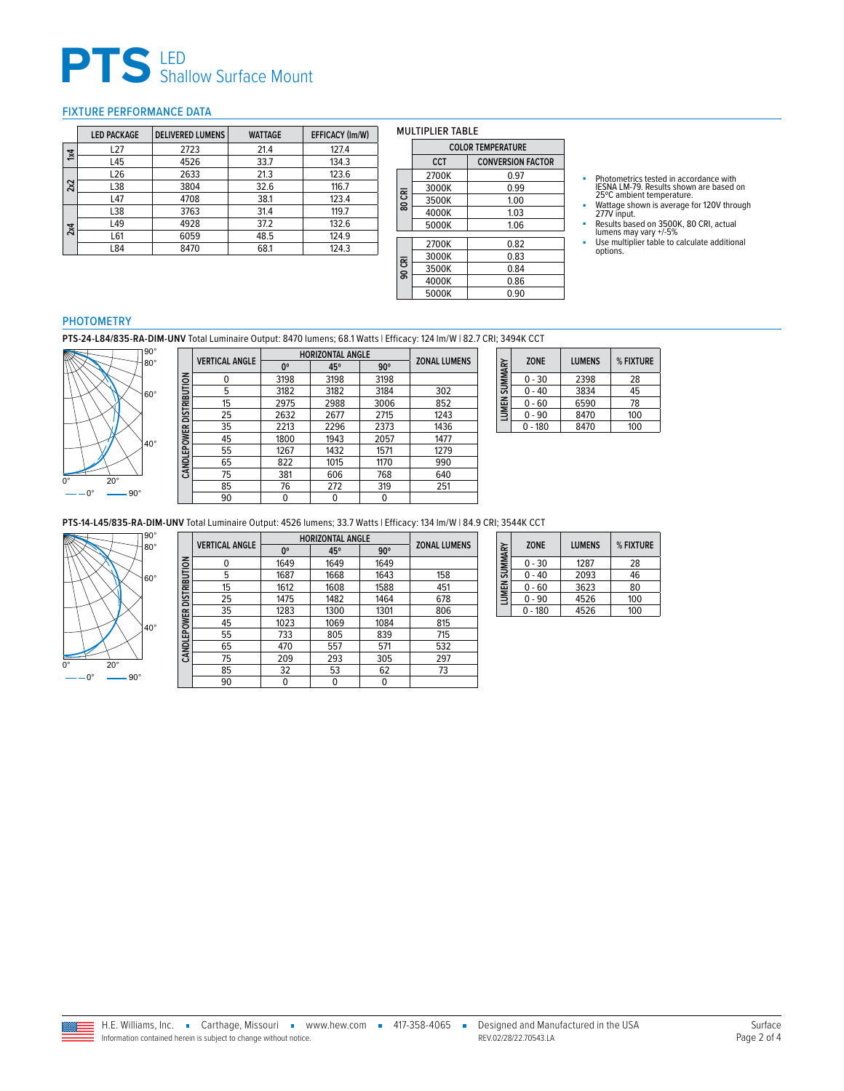# **PTS** LED<br>
Shallow Surface Mount

#### <span id="page-1-0"></span>FIXTURE PERFORMANCE DATA

|             | <b>LED PACKAGE</b> | <b>DELIVERED LUMENS</b> | <b>WATTAGE</b> | <b>EFFICACY (Im/W)</b> |
|-------------|--------------------|-------------------------|----------------|------------------------|
| $1\times 4$ | L27                | 2723                    | 21.4           | 127.4                  |
|             | L45                | 4526                    | 33.7           | 134.3                  |
|             | L <sub>26</sub>    | 2633                    | 21.3           | 123.6                  |
| 2x2         | L38                | 3804                    | 32.6           | 116.7                  |
|             | L47                | 4708                    | 38.1           | 123.4                  |
|             | L38                | 3763                    | 31.4           | 119.7                  |
| 2x4         | L49                | 4928                    | 37.2           | 132.6                  |
|             | L61                | 6059                    | 48.5           | 124.9                  |
|             | L84                | 8470                    | 68.1           | 124.3                  |

| <b>MULTIPLIER TABLE</b> |                          |                          |  |  |  |  |
|-------------------------|--------------------------|--------------------------|--|--|--|--|
|                         | <b>COLOR TEMPERATURE</b> |                          |  |  |  |  |
|                         | <b>CCT</b>               | <b>CONVERSION FACTOR</b> |  |  |  |  |
|                         | 2700K                    | 0.97                     |  |  |  |  |
|                         | 3000K                    | በ 99                     |  |  |  |  |
| 80 CRI                  | 3500K                    | 1.00                     |  |  |  |  |
|                         | 4000K                    | 1.03                     |  |  |  |  |
|                         | 5000K                    | 1.06                     |  |  |  |  |

2700K 0.82<br>3000K 0.83

3500K 0.84<br>4000K 0.86 4000K 0.86<br>5000K 0.90

**90 CRI**

 $3000K$ 

 $5000K$ 

- Photometrics tested in accordance with<br>IESNA LM-79. Results shown are based on<br>25℃ ambient temperature.<br>■ Wattage shown is average for 120V through<br>277V input.
- 
- Results based on 3500K, 80 CRI, actual<br>lumens may vary +/-5%<br>■ Use multiplier table to calculate additional<br>options.

#### PHOTOMETRY

**PTS-24-L84/835-RA-DIM-UNV** Total Luminaire Output: 8470 lumens; 68.1 Watts | Efficacy: 124 lm/W | 82.7 CRI; 3494K CCT



|              | <b>VERTICAL ANGLE</b> | <b>HORIZONTAL ANGLE</b> |      |            |                     |
|--------------|-----------------------|-------------------------|------|------------|---------------------|
|              |                       | 0°                      | 45°  | $90^\circ$ | <b>ZONAL LUMENS</b> |
| DISTRIBUTION | 0                     | 3198                    | 3198 | 3198       |                     |
|              | 5                     | 3182                    | 3182 | 3184       | 302                 |
|              | 15                    | 2975                    | 2988 | 3006       | 852                 |
|              | 25                    | 2632                    | 2677 | 2715       | 1243                |
|              | 35                    | 2213                    | 2296 | 2373       | 1436                |
|              | 45                    | 1800                    | 1943 | 2057       | 1477                |
| CANDLEPOWER  | 55                    | 1267                    | 1432 | 1571       | 1279                |
|              | 65                    | 822                     | 1015 | 1170       | 990                 |
|              | 75                    | 381                     | 606  | 768        | 640                 |
|              | 85                    | 76                      | 272  | 319        | 251                 |
|              | 90                    |                         |      |            |                     |

| SUMMARY            | <b>ZONE</b> | <b>LUMENS</b> | % FIXTURE |
|--------------------|-------------|---------------|-----------|
|                    | $0 - 30$    | 2398          | 28        |
|                    | $0 - 40$    | 3834          | 45        |
| LUMEN <sub>3</sub> | 0 - 60      | 6590          | 78        |
|                    | 0 - 90      | 8470          | 100       |
|                    | $0 - 180$   | 8470          | 100       |
|                    |             |               |           |

**PTS-14-L45/835-RA-DIM-UNV** Total Luminaire Output: 4526 lumens; 33.7 Watts | Efficacy: 134 lm/W | 84.9 CRI; 3544K CCT



|                     | <b>VERTICAL ANGLE</b> | <b>HORIZONTAL ANGLE</b> | <b>ZONAL LUMENS</b> |            |     |
|---------------------|-----------------------|-------------------------|---------------------|------------|-----|
|                     |                       | 0°                      | 45°                 | $90^\circ$ |     |
|                     | n                     | 1649                    | 1649                | 1649       |     |
|                     | 5                     | 1687                    | 1668                | 1643       | 158 |
| <b>DISTRIBUTION</b> | 15                    | 1612                    | 1608                | 1588       | 451 |
|                     | 25                    | 1475                    | 1482                | 1464       | 678 |
|                     | 35                    | 1283                    | 1300                | 1301       | 806 |
|                     | 45                    | 1023                    | 1069                | 1084       | 815 |
| <b>CANDLEPOWER</b>  | 55                    | 733                     | 805                 | 839        | 715 |
|                     | 65                    | 470                     | 557                 | 571        | 532 |
|                     | 75                    | 209                     | 293                 | 305        | 297 |
|                     | 85                    | 32                      | 53                  | 62         | 73  |
|                     | 90                    | 0                       |                     |            |     |

| LUMEN SUMMARY | <b>ZONE</b> | <b>LUMENS</b> | % FIXTURE |
|---------------|-------------|---------------|-----------|
|               | $0 - 30$    | 1287          | 28        |
|               | $0 - 40$    | 2093          | 46        |
|               | $0 - 60$    | 3623          | 80        |
|               | $0 - 90$    | 4526          | 100       |
|               | $0 - 180$   | 4526          | 100       |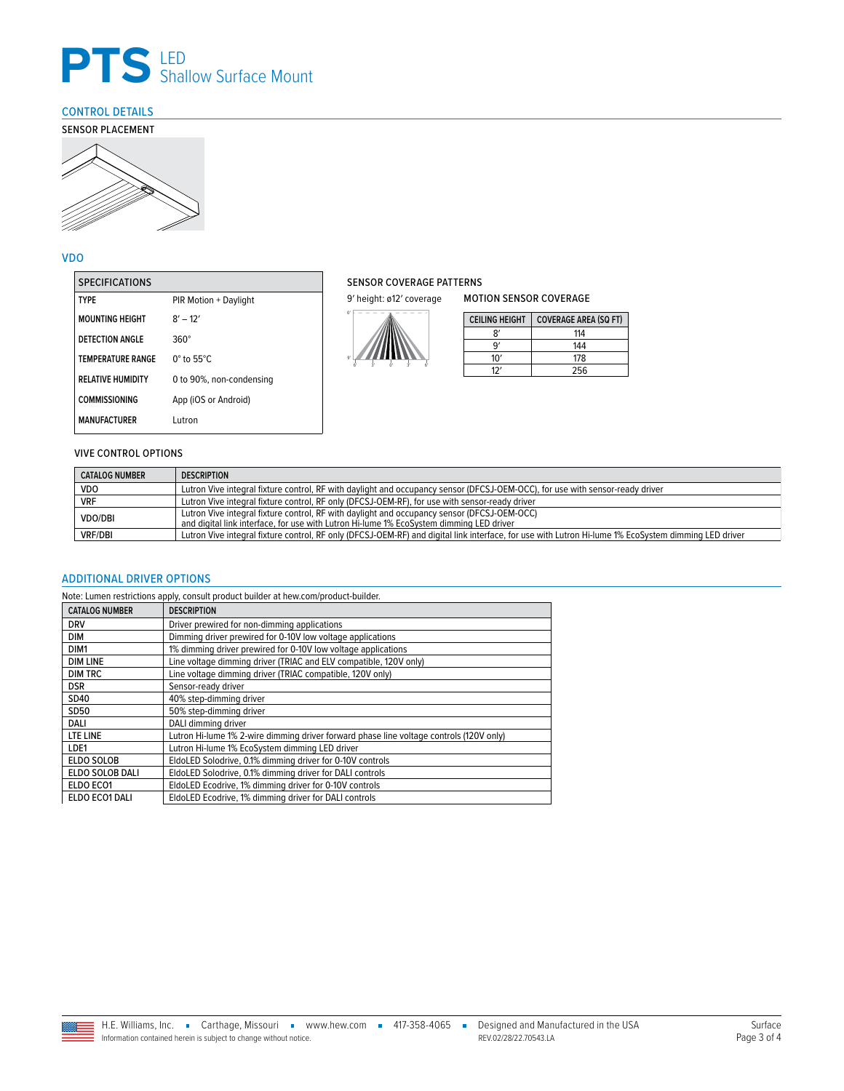

### <span id="page-2-0"></span>CONTROL DETAILS



#### VDO

| <b>SPECIFICATIONS</b>    |                             |
|--------------------------|-----------------------------|
| <b>TYPF</b>              | PIR Motion + Daylight       |
| <b>MOUNTING HEIGHT</b>   | $8' - 12'$                  |
| <b>DETECTION ANGLE</b>   | $360^\circ$                 |
| <b>TEMPERATURE RANGE</b> | $0^\circ$ to 55 $^\circ$ C. |
| <b>RELATIVE HUMIDITY</b> | 0 to 90%, non-condensing    |
| <b>COMMISSIONING</b>     | App (iOS or Android)        |
| <b>MANUFACTURER</b>      | Lutron                      |

### SENSOR COVERAGE PATTERNS

9' height: ø12' coverage



| <b>MOTION SENSOR COVERAGE</b> |                              |  |  |  |
|-------------------------------|------------------------------|--|--|--|
| <b>CEILING HEIGHT</b>         | <b>COVERAGE AREA (SQ FT)</b> |  |  |  |
|                               | 114                          |  |  |  |
| q,                            | 144                          |  |  |  |
| 10'                           | 178                          |  |  |  |
| 12'                           | 256                          |  |  |  |

#### VIVE CONTROL OPTIONS

| <b>CATALOG NUMBER</b> | <b>DESCRIPTION</b>                                                                                                                                                                     |
|-----------------------|----------------------------------------------------------------------------------------------------------------------------------------------------------------------------------------|
| <b>VDO</b>            | Lutron Vive integral fixture control, RF with daylight and occupancy sensor (DFCSJ-OEM-OCC), for use with sensor-ready driver                                                          |
| <b>VRF</b>            | Lutron Vive integral fixture control, RF only (DFCSJ-OEM-RF), for use with sensor-ready driver                                                                                         |
| <b>VDO/DBI</b>        | Lutron Vive integral fixture control, RF with daylight and occupancy sensor (DFCSJ-OEM-OCC)<br>and digital link interface, for use with Lutron Hi-lume 1% EcoSystem dimming LED driver |
| <b>VRF/DBI</b>        | Lutron Vive integral fixture control, RF only (DFCSJ-OEM-RF) and digital link interface, for use with Lutron Hi-lume 1% EcoSystem dimming LED driver                                   |

#### <span id="page-2-1"></span>ADDITIONAL DRIVER OPTIONS

Note: Lumen restrictions apply, consult product builder at hew.com/product-builder.

| <b>CATALOG NUMBER</b> | <b>DESCRIPTION</b>                                                                      |
|-----------------------|-----------------------------------------------------------------------------------------|
| <b>DRV</b>            | Driver prewired for non-dimming applications                                            |
| <b>DIM</b>            | Dimming driver prewired for 0-10V low voltage applications                              |
| DIM1                  | 1% dimming driver prewired for 0-10V low voltage applications                           |
| <b>DIM LINE</b>       | Line voltage dimming driver (TRIAC and ELV compatible, 120V only)                       |
| <b>DIM TRC</b>        | Line voltage dimming driver (TRIAC compatible, 120V only)                               |
| <b>DSR</b>            | Sensor-ready driver                                                                     |
| SD40                  | 40% step-dimming driver                                                                 |
| SD50                  | 50% step-dimming driver                                                                 |
| DALI                  | DALI dimming driver                                                                     |
| LTE LINE              | Lutron Hi-lume 1% 2-wire dimming driver forward phase line voltage controls (120V only) |
| LDE1                  | Lutron Hi-lume 1% EcoSystem dimming LED driver                                          |
| <b>ELDO SOLOB</b>     | EldoLED Solodrive, 0.1% dimming driver for 0-10V controls                               |
| ELDO SOLOB DALI       | EldoLED Solodrive, 0.1% dimming driver for DALI controls                                |
| ELDO ECO1             | EldoLED Ecodrive, 1% dimming driver for 0-10V controls                                  |
| ELDO ECO1 DALI        | EldoLED Ecodrive, 1% dimming driver for DALI controls                                   |